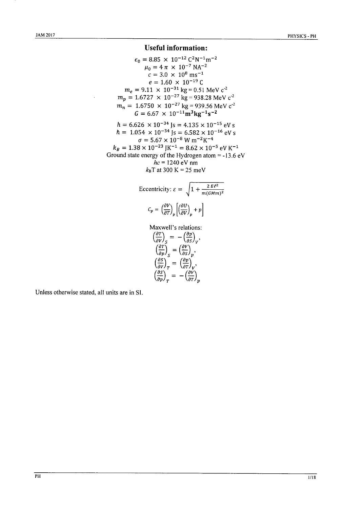## **Useful information:**

$$
\epsilon_0 = 8.85 \times 10^{-12} \text{ C}^2 \text{N}^{-1} \text{m}^{-2}
$$
  
\n
$$
\mu_0 = 4 \pi \times 10^{-7} \text{ N} \text{A}^{-2}
$$
  
\n
$$
c = 3.0 \times 10^8 \text{ m} \text{s}^{-1}
$$
  
\n
$$
e = 1.60 \times 10^{-19} \text{ C}
$$
  
\n
$$
m_e = 9.11 \times 10^{-31} \text{ kg} = 0.51 \text{ MeV c}^{-2}
$$
  
\n
$$
m_p = 1.6727 \times 10^{-27} \text{ kg} = 938.28 \text{ MeV c}^{-2}
$$
  
\n
$$
m_n = 1.6750 \times 10^{-27} \text{ kg} = 939.56 \text{ MeV c}^{-2}
$$
  
\n
$$
G = 6.67 \times 10^{-11} \text{ m}^3 \text{ kg}^{-1} \text{s}^{-2}
$$
  
\n
$$
h = 6.626 \times 10^{-34} \text{ J} \text{s} = 4.135 \times 10^{-15} \text{ eV s}
$$
  
\n
$$
h = 1.054 \times 10^{-34} \text{ J} \text{s} = 6.582 \times 10^{-16} \text{ eV s}
$$
  
\n
$$
\sigma = 5.67 \times 10^{-8} \text{ W m}^{-2} \text{K}^{-4}
$$
  
\n
$$
k_B = 1.38 \times 10^{-23} \text{ J} \text{K}^{-1} = 8.62 \times 10^{-5} \text{ eV K}^{-1}
$$
  
\nGround state energy of the Hydrogen atom = -13.6 eV  
\n
$$
hc = 1240 \text{ eV nm}
$$

 $k_B$ T at 300 K = 25 meV

Eccentricity: 
$$
\varepsilon = \sqrt{1 + \frac{2 E \ell^2}{m(GMm)^2}}
$$
  
\n
$$
C_p = \left(\frac{\partial V}{\partial T}\right)_p \left[\left(\frac{\partial U}{\partial V}\right)_p + p\right]
$$
\nMaxwell's relations:  
\n
$$
\left(\frac{\partial T}{\partial V}\right)_S = -\left(\frac{\partial p}{\partial S}\right)_V,
$$
\n
$$
\left(\frac{\partial T}{\partial p}\right)_S = \left(\frac{\partial v}{\partial S}\right)_p,
$$
\n
$$
\left(\frac{\partial S}{\partial V}\right)_T = \left(\frac{\partial p}{\partial T}\right)_V,
$$
\n
$$
\left(\frac{\partial S}{\partial p}\right)_T = -\left(\frac{\partial v}{\partial T}\right)_p
$$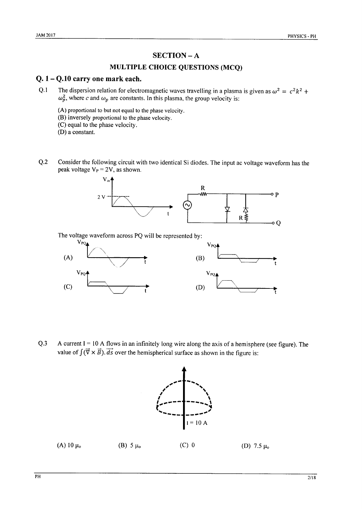## **SECTION-A**

### **MULTIPLE CHOICE QUESTIONS (MCQ)**

### $Q. 1 - Q.10$  carry one mark each.

- $Q.1$ The dispersion relation for electromagnetic waves travelling in a plasma is given as  $\omega^2 = c^2 k^2$  +  $\omega_p^2$ , where c and  $\omega_p$  are constants. In this plasma, the group velocity is:
	- (A) proportional to but not equal to the phase velocity.
	- (B) inversely proportional to the phase velocity.
	- (C) equal to the phase velocity.
	- (D) a constant.
- Consider the following circuit with two identical Si diodes. The input ac voltage waveform has the  $Q.2$ peak voltage  $V_P = 2V$ , as shown.



The voltage waveform across PQ will be represented by:



 $O.3$ A current  $I = 10$  A flows in an infinitely long wire along the axis of a hemisphere (see figure). The value of  $\int (\vec{\nabla} \times \vec{B}) \cdot d\vec{s}$  over the hemispherical surface as shown in the figure is:

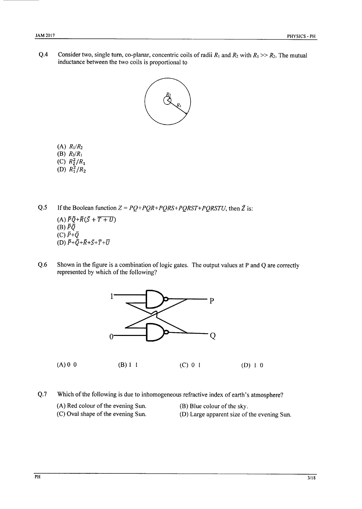Consider two, single turn, co-planar, concentric coils of radii  $R_1$  and  $R_2$  with  $R_1 >> R_2$ . The mutual  $Q.4$ inductance between the two coils is proportional to



- (A)  $R_1/R_2$
- (B)  $R_2/R_1$
- (C)  $R_2^2/R_1$
- (D)  $R_1^2/R_2$

 $Q.5$ If the Boolean function  $Z = PQ + PQR + PQRS + PQRST + PQRSTU$ , then  $\overline{Z}$  is: (A)  $\bar{P}\bar{Q}+\bar{R}(\bar{S}+\overline{T+U})$ (B)  $\bar{P}\bar{Q}$ 

- (C)  $\bar{P}+\bar{Q}$ (D)  $\overline{P}+\overline{Q}+\overline{R}+\overline{S}+\overline{T}+\overline{U}$
- Shown in the figure is a combination of logic gates. The output values at P and Q are correctly  $Q.6$ represented by which of the following?



 $(A) 0 0$  $(B) 1 1$  $(C) 0 1$  $(D) 1 0$ 

 $Q.7$ Which of the following is due to inhomogeneous refractive index of earth's atmosphere?

- (A) Red colour of the evening Sun.
- (B) Blue colour of the sky.
- (C) Oval shape of the evening Sun.
- (D) Large apparent size of the evening Sun.
	-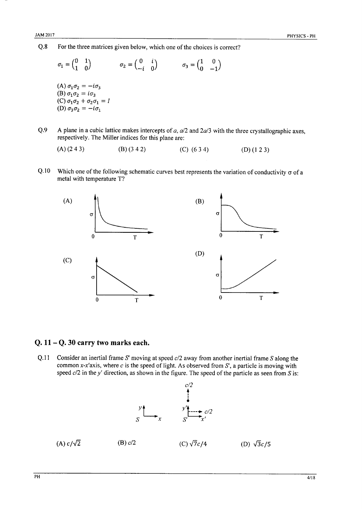$Q.8$ For the three matrices given below, which one of the choices is correct?

$$
\sigma_1 = \begin{pmatrix} 0 & 1 \\ 1 & 0 \end{pmatrix} \qquad \sigma_2 = \begin{pmatrix} 0 & i \\ -i & 0 \end{pmatrix} \qquad \sigma_3 = \begin{pmatrix} 1 & 0 \\ 0 & -1 \end{pmatrix}
$$
  
\n(A)  $\sigma_1 \sigma_2 = -i \sigma_3$   
\n(B)  $\sigma_1 \sigma_2 = i \sigma_3$   
\n(C)  $\sigma_1 \sigma_2 + \sigma_2 \sigma_1 = I$   
\n(D)  $\sigma_3 \sigma_2 = -i \sigma_1$ 

 $Q.9$ A plane in a cubic lattice makes intercepts of  $a$ ,  $a/2$  and  $2a/3$  with the three crystallographic axes, respectively. The Miller indices for this plane are:

 $Q.10$ Which one of the following schematic curves best represents the variation of conductivity  $\sigma$  of a metal with temperature T?



### Q.  $11 - Q$ . 30 carry two marks each.

Consider an inertial frame  $S'$  moving at speed  $c/2$  away from another inertial frame  $S$  along the  $Q.11$ common x-x'axis, where  $c$  is the speed of light. As observed from  $S'$ , a particle is moving with speed  $c/2$  in the y' direction, as shown in the figure. The speed of the particle as seen from S is:

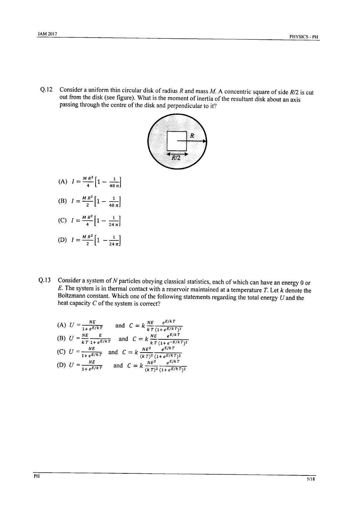Consider a uniform thin circular disk of radius  $R$  and mass  $M$ . A concentric square of side  $R/2$  is cut  $Q.12$ out from the disk (see figure). What is the moment of inertia of the resultant disk about an axis passing through the centre of the disk and perpendicular to it?



- (A)  $I = \frac{MR^2}{4} \left[ 1 \frac{1}{48 \pi} \right]$
- (B)  $I = \frac{MR^2}{2} \left[ 1 \frac{1}{48 \pi} \right]$
- (C)  $I = \frac{MR^2}{4} \left[ 1 \frac{1}{24 \pi} \right]$
- (D)  $I = \frac{MR^2}{2} \left[ 1 \frac{1}{24 \pi} \right]$
- Consider a system of  $N$  particles obeying classical statistics, each of which can have an energy  $0$  or  $Q.13$  $E$ . The system is in thermal contact with a reservoir maintained at a temperature  $T$ . Let  $k$  denote the Boltzmann constant. Which one of the following statements regarding the total energy  $U$  and the heat capacity  $C$  of the system is correct?

(A) 
$$
U = \frac{NE}{1 + e^{E/kT}}
$$
 and  $C = k \frac{NE}{kT} \frac{e^{E/kT}}{(1 + e^{E/kT})^2}$   
\n(B)  $U = \frac{NE}{kT} \frac{E}{1 + e^{E/kT}}$  and  $C = k \frac{NE}{kT} \frac{e^{E/kT}}{(1 + e^{-E/kT})^2}$   
\n(C)  $U = \frac{NE}{1 + e^{E/kT}}$  and  $C = k \frac{NE^2}{(kT)^2} \frac{e^{E/kT}}{(1 + e^{E/kT})^2}$   
\n(D)  $U = \frac{NE}{1 + e^{E/kT}}$  and  $C = k \frac{NE^2}{(kT)^2} \frac{e^{E/kT}}{(1 + e^{E/kT})^2}$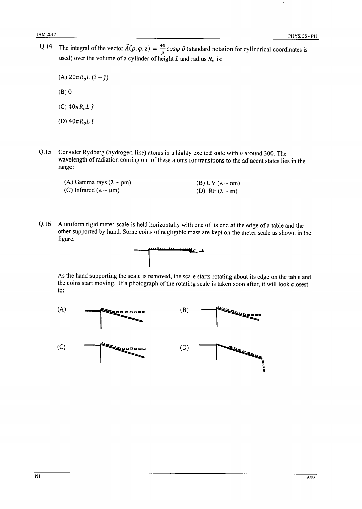The integral of the vector  $\vec{A}(\rho, \varphi, z) = \frac{40}{\rho} \cos \varphi \hat{\rho}$  (standard notation for cylindrical coordinates is  $Q.14$ used) over the volume of a cylinder of height L and radius  $R_o$  is:

(A)  $20\pi R_o L (\hat{i} + \hat{j})$  $(B)$  0

(C)  $40\pi R_o L \hat{\jmath}$ 

(D)  $40\pi R_o L \hat{\iota}$ 

Consider Rydberg (hydrogen-like) atoms in a highly excited state with  $n$  around 300. The  $Q.15$ wavelength of radiation coming out of these atoms for transitions to the adjacent states lies in the range:

| (A) Gamma rays $(\lambda \sim pm)$   | (B) UV ( $\lambda \sim nm$ ) |
|--------------------------------------|------------------------------|
| (C) Infrared ( $\lambda \sim \mu$ m) | (D) RF $(\lambda \sim m)$    |

 $Q.16$ A uniform rigid meter-scale is held horizontally with one of its end at the edge of a table and the other supported by hand. Some coins of negligible mass are kept on the meter scale as shown in the figure.



As the hand supporting the scale is removed, the scale starts rotating about its edge on the table and the coins start moving. If a photograph of the rotating scale is taken soon after, it will look closest to:

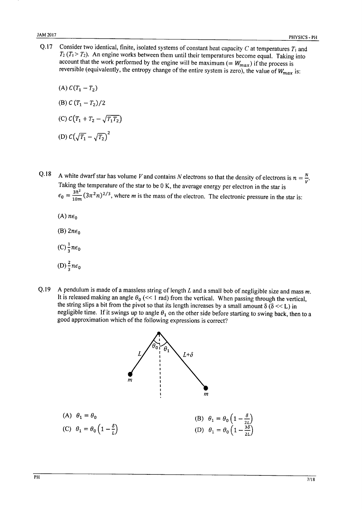Consider two identical, finite, isolated systems of constant heat capacity  $C$  at temperatures  $T_1$  and  $Q.17$  $T_2$  ( $T_1 > T_2$ ). An engine works between them until their temperatures become equal. Taking into account that the work performed by the engine will be maximum (=  $W_{max}$ ) if the process is reversible (equivalently, the entropy change of the entire system is zero), the value of  $W_{max}$  is:

(A) 
$$
C(T_1 - T_2)
$$
  
\n(B)  $C (T_1 - T_2)/2$   
\n(C)  $C(T_1 + T_2 - \sqrt{T_1 T_2})$   
\n(D)  $C(\sqrt{T_1} - \sqrt{T_2})^2$ 

- A white dwarf star has volume V and contains N electrons so that the density of electrons is  $n = \frac{N}{V}$ .  $Q.18$ Taking the temperature of the star to be  $0 K$ , the average energy per electron in the star is  $\epsilon_0 = \frac{3\hbar^2}{10m}(3\pi^2 n)^{2/3}$ , where *m* is the mass of the electron. The electronic pressure in the star is:
	- $(A)$   $n\epsilon_0$
	- (B)  $2n\epsilon_0$
	- $(C)\frac{1}{3}n\epsilon_0$
	- (D)  $\frac{2}{3}n\epsilon_0$
- O.19 A pendulum is made of a massless string of length  $L$  and a small bob of negligible size and mass  $m$ . It is released making an angle  $\theta_0$  (<< 1 rad) from the vertical. When passing through the vertical, the string slips a bit from the pivot so that its length increases by a small amount  $\delta(\delta \ll L)$  in negligible time. If it swings up to angle  $\theta_1$  on the other side before starting to swing back, then to a good approximation which of the following expressions is correct?

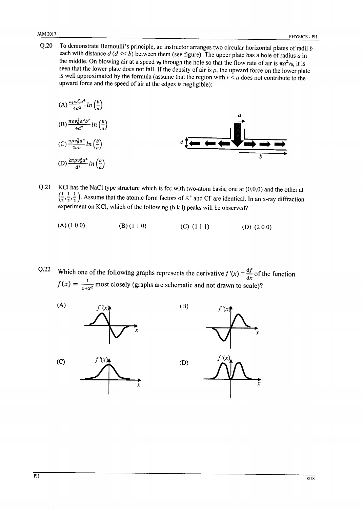$O.20$ To demonstrate Bernoulli's principle, an instructor arranges two circular horizontal plates of radii b each with distance  $d (d \ll b)$  between them (see figure). The upper plate has a hole of radius a in the middle. On blowing air at a speed  $v_0$  through the hole so that the flow rate of air is  $\pi a^2 v_0$ , it is seen that the lower plate does not fall. If the density of air is  $\rho$ , the upward force on the lower plate is well approximated by the formula (assume that the region with  $r < a$  does not contribute to the upward force and the speed of air at the edges is negligible):

(A) 
$$
\frac{\pi \rho v_0^2 a^4}{4d^2} ln\left(\frac{b}{a}\right)
$$
  
\n(B)  $\frac{\pi \rho v_0^2 a^2 b^2}{4d^2} ln\left(\frac{b}{a}\right)$   
\n(C)  $\frac{\pi \rho v_0^2 d^4}{2ab} ln\left(\frac{b}{a}\right)$   
\n(D)  $\frac{2\pi \rho v_0^2 a^4}{d^2} ln\left(\frac{b}{a}\right)$ 

- KCl has the NaCl type structure which is fcc with two-atom basis, one at  $(0,0,0)$  and the other at  $Q.21$  $\left(\frac{1}{2}, \frac{1}{2}, \frac{1}{2}\right)$ . Assume that the atomic form factors of K<sup>+</sup> and Cl<sup>-</sup> are identical. In an x-ray diffraction experiment on KCl, which of the following (h k l) peaks will be observed?
	- $(A) (1 0 0)$  $(B) (1 1 0)$  $(C)$   $(111)$ (D)  $(200)$

 $Q.22$ Which one of the following graphs represents the derivative  $f'(x) = \frac{df}{dx}$  of the function  $f(x) = \frac{1}{1+x^2}$  most closely (graphs are schematic and not drawn to scale)?

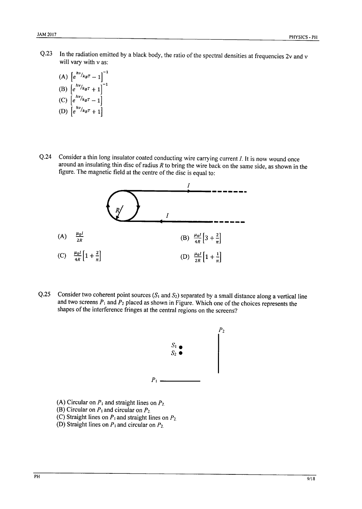- $Q.23$ In the radiation emitted by a black body, the ratio of the spectral densities at frequencies 2v and v will vary with v as:
	- (A)  $\left[e^{hv}/k_BT 1\right]^{-1}$ <br>
	(B)  $\left[e^{hv}/k_BT + 1\right]^{-1}$ <br>
	(C)  $\left[e^{hv}/k_BT 1\right]$ (D)  $\left[ e^{hv}/k_B T + 1 \right]$
- $O.24$ Consider a thin long insulator coated conducting wire carrying current  $I$ . It is now wound once around an insulating thin disc of radius  $R$  to bring the wire back on the same side, as shown in the figure. The magnetic field at the centre of the disc is equal to:



Consider two coherent point sources  $(S_1 \text{ and } S_2)$  separated by a small distance along a vertical line  $Q.25$ and two screens  $P_1$  and  $P_2$  placed as shown in Figure. Which one of the choices represents the shapes of the interference fringes at the central regions on the screens?



- (A) Circular on  $P_1$  and straight lines on  $P_2$ .
- (B) Circular on  $P_1$  and circular on  $P_2$
- (C) Straight lines on  $P_1$  and straight lines on  $P_2$
- (D) Straight lines on  $P_1$  and circular on  $P_2$ .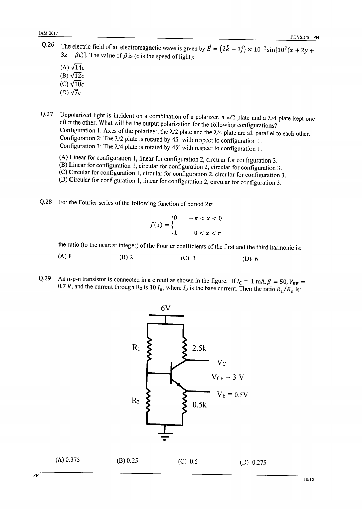- O.26 The electric field of an electromagnetic wave is given by  $\vec{E} = (2\hat{k} - 3\hat{j}) \times 10^{-3} \sin[10^7(x + 2y +$  $3z - \beta t$ ]. The value of  $\beta$  is (c is the speed of light):
	- (A)  $\sqrt{14}c$ (B)  $\sqrt{12}c$  $(C)\sqrt{10}c$ (D)  $\sqrt{7}c$
- Unpolarized light is incident on a combination of a polarizer, a  $\lambda/2$  plate and a  $\lambda/4$  plate kept one Q.27 after the other. What will be the output polarization for the following configurations? Configuration 1: Axes of the polarizer, the  $\lambda/2$  plate and the  $\lambda/4$  plate are all parallel to each other. Configuration 2: The  $\lambda/2$  plate is rotated by 45° with respect to configuration 1. Configuration 3: The  $\lambda/4$  plate is rotated by 45° with respect to configuration 1.
	- (A) Linear for configuration 1, linear for configuration 2, circular for configuration 3.
	- $(B)$  Linear for configuration 1, circular for configuration 2, circular for configuration 3.
	- $\widetilde{\mathcal{C}}$  Circular for configuration 1, circular for configuration 2, circular for configuration 3.
	- (D) Circular for configuration 1, linear for configuration 2, circular for configuration 3.
- $Q.28$ For the Fourier series of the following function of period  $2\pi$

$$
f(x) = \begin{cases} 0 & -\pi < x < 0 \\ 1 & 0 < x < \pi \end{cases}
$$

the ratio (to the nearest integer) of the Fourier coefficients of the first and the third harmonic is:

- $(A)$  1  $(B)$  2  $(C)$  3  $(D)$  6
- An n-p-n transistor is connected in a circuit as shown in the figure. If  $I_C = 1$  mA,  $\beta = 50$ ,  $V_{BE} =$  $Q.29$ 0.7 V, and the current through R<sub>2</sub> is 10  $I_B$ , where  $I_B$  is the base current. Then the ratio  $R_1/R_2$  is:



 $(A)$  0.375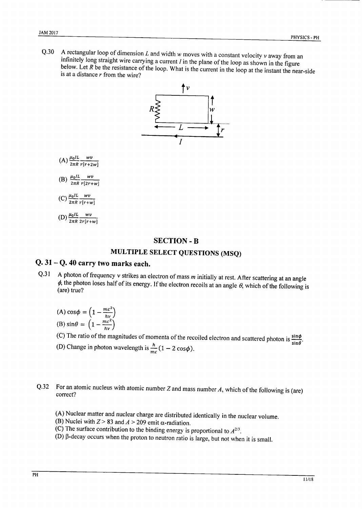A rectangular loop of dimension  $L$  and width  $w$  moves with a constant velocity  $v$  away from an  $O.30$ infinitely long straight wire carrying a current  $I$  in the plane of the loop as shown in the figure below. Let  $R$  be the resistance of the loop. What is the current in the loop at the instant the near-side is at a distance  $r$  from the wire?



(A)  $\frac{\mu_0 IL}{2\pi R} \frac{wv}{r[r+2w]}$ 

(B) 
$$
\frac{\mu_0 IL}{2\pi R} \frac{wv}{r[2r+w]}
$$

$$
\text{(C)}\,\frac{\mu_0 I L}{2\pi R}\frac{wv}{r[r+w]}
$$

(D)  $\frac{\mu_0 IL}{2\pi R} \frac{wv}{2r[r+w]}$ 

### **SECTION - B**

# MULTIPLE SELECT QUESTIONS (MSQ)

# Q. 31 - Q. 40 carry two marks each.

A photon of frequency  $v$  strikes an electron of mass  $m$  initially at rest. After scattering at an angle  $Q.31$  $\phi$ , the photon loses half of its energy. If the electron recoils at an angle  $\theta$ , which of the following is (are) true?

(A) 
$$
\cos \phi = \left(1 - \frac{mc^2}{h\nu}\right)
$$
  
\n(B)  $\sin \theta = \left(1 - \frac{mc^2}{h\nu}\right)$ 

(C) The ratio of the magnitudes of momenta of the recoiled electron and scattered photon is  $\frac{\sin \phi}{\sin \theta}$ .

(D) Change in photon wavelength is  $\frac{h}{mc}(1-2\cos\phi)$ .

#### For an atomic nucleus with atomic number  $Z$  and mass number  $A$ , which of the following is (are)  $Q.32$ correct?

- (A) Nuclear matter and nuclear charge are distributed identically in the nuclear volume.
- (B) Nuclei with  $Z > 83$  and  $A > 209$  emit  $\alpha$ -radiation.
- (C) The surface contribution to the binding energy is proportional to  $A^{2/3}$ .
- (D)  $\beta$ -decay occurs when the proton to neutron ratio is large, but not when it is small.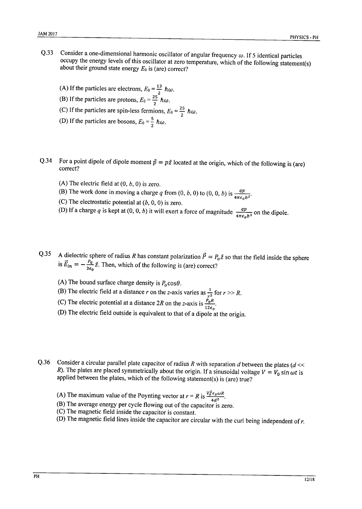- Consider a one-dimensional harmonic oscillator of angular frequency  $\omega$ . If 5 identical particles O.33 occupy the energy levels of this oscillator at zero temperature, which of the following statement(s) about their ground state energy  $E_0$  is (are) correct?
	- (A) If the particles are electrons,  $E_0 = \frac{13}{2} \hbar \omega$ . (B) If the particles are protons,  $E_0 = \frac{25}{2} \hbar \omega$ . (C) If the particles are spin-less fermions,  $E_0 = \frac{25}{2} \hbar \omega$ . (D) If the particles are bosons,  $E_0 = \frac{5}{2} \hbar \omega$ .
- For a point dipole of dipole moment  $\vec{p} = p\hat{z}$  located at the origin, which of the following is (are)  $Q.34$ correct?
	- (A) The electric field at  $(0, b, 0)$  is zero.
	- (B) The work done in moving a charge q from  $(0, b, 0)$  to  $(0, 0, b)$  is  $\frac{qp}{4\pi\epsilon_0 b^2}$ .
	- (C) The electrostatic potential at  $(b, 0, 0)$  is zero.
	- (D) If a charge q is kept at (0, 0, b) it will exert a force of magnitude  $\frac{qp}{4\pi\epsilon_0b^3}$  on the dipole.
- A dielectric sphere of radius R has constant polarization  $\vec{P} = P_0 \hat{z}$  so that the field inside the sphere is  $\vec{E}_{in} = -\frac{P_0}{3\epsilon_0}\hat{z}$ . Then, which of the following is (are) correct?  $Q.35$ 
	- (A) The bound surface charge density is  $P_0 \cos\theta$ .
	- (B) The electric field at a distance r on the z-axis varies as  $\frac{1}{r^2}$  for  $r >> R$ .<br>(C) The electric potential at a distance 2R on the z-axis is  $\frac{P_0 R}{12\epsilon_0}$ .
	-
	- (D) The electric field outside is equivalent to that of a dipole at the origin.
- Consider a circular parallel plate capacitor of radius R with separation  $d$  between the plates ( $d \ll$  $0.36$ R). The plates are placed symmetrically about the origin. If a sinusoidal voltage  $V = V_0 \sin \omega t$  is applied between the plates, which of the following statement(s) is (are) true?
	- (A) The maximum value of the Poynting vector at  $r = R$  is  $\frac{V_0^2 \epsilon_0 \omega R}{4d^2}$ .
	- (B) The average energy per cycle flowing out of the capacitor is zero.
	- (C) The magnetic field inside the capacitor is constant.
	- (D) The magnetic field lines inside the capacitor are circular with the curl being independent of  $r$ .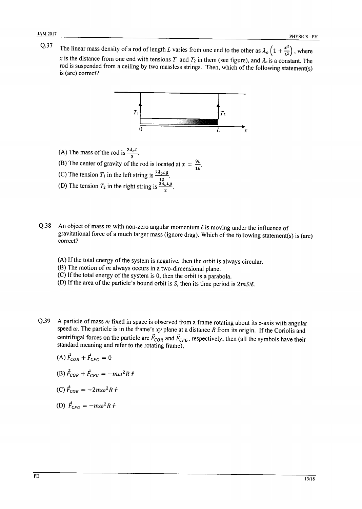$Q.37$ The linear mass density of a rod of length L varies from one end to the other as  $\lambda_o\left(1+\frac{x^2}{L^2}\right)$ , where x is the distance from one end with tensions  $T_1$  and  $T_2$  in them (see figure), and  $\lambda_0$  is a constant. The rod is suspended from a ceiling by two massless strings. Then, which of the following statement(s) is (are) correct?



- 
- (A) The mass of the rod is  $\frac{2\lambda_0 L}{3}$ .<br>
(B) The center of gravity of the rod is located at  $x = \frac{9L}{16}$ .<br>
(C) The tension  $T_1$  in the left string is  $\frac{7\lambda_0 Lg}{12}$ .<br>
(D) The tension  $T_2$  in the right string is  $\$
- 
- 
- An object of mass  $m$  with non-zero angular momentum  $\ell$  is moving under the influence of  $Q.38$ gravitational force of a much larger mass (ignore drag). Which of the following statement(s) is (are) correct?
	- (A) If the total energy of the system is negative, then the orbit is always circular.
	- (B) The motion of  $m$  always occurs in a two-dimensional plane.
	- (C) If the total energy of the system is 0, then the orbit is a parabola.
	- (D) If the area of the particle's bound orbit is  $S$ , then its time period is  $2mS/\ell$ .
- $Q.39$ A particle of mass  $m$  fixed in space is observed from a frame rotating about its  $z$ -axis with angular speed  $\omega$ . The particle is in the frame's xy plane at a distance R from its origin. If the Coriolis and centrifugal forces on the particle are  $\vec{F}_{COR}$  and  $\vec{F}_{CFG}$ , respectively, then (all the symbols have their standard meaning and refer to the rotating frame),

$$
(A) \vec{F}_{COR} + \vec{F}_{CFG} = 0
$$

(B) 
$$
\vec{F}_{COR} + \vec{F}_{CFG} = -m\omega^2 R \hat{r}
$$

$$
(C)\,\vec{F}_{COR}=-2m\omega^2R\,\hat{r}
$$

(D) 
$$
\vec{F}_{CFG} = -m\omega^2 R \hat{r}
$$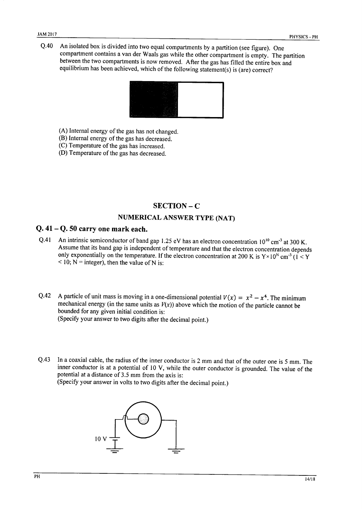An isolated box is divided into two equal compartments by a partition (see figure). One  $O.40$ compartment contains a van der Waals gas while the other compartment is empty. The partition between the two compartments is now removed. After the gas has filled the entire box and equilibrium has been achieved, which of the following statement(s) is (are) correct?



- (A) Internal energy of the gas has not changed.
- (B) Internal energy of the gas has decreased.
- (C) Temperature of the gas has increased.
- (D) Temperature of the gas has decreased.

### $SECTION - C$

### **NUMERICAL ANSWER TYPE (NAT)**

### $Q.41 - Q.50$  carry one mark each.

- An intrinsic semiconductor of band gap 1.25 eV has an electron concentration  $10^{10}$  cm<sup>-3</sup> at 300 K.  $Q.41$ Assume that its band gap is independent of temperature and that the electron concentration depends only exponentially on the temperature. If the electron concentration at 200 K is  $Y \times 10^N$  cm<sup>-3</sup> (1 < Y  $<$  10; N = integer), then the value of N is:
- $0.42$ A particle of unit mass is moving in a one-dimensional potential  $V(x) = x^2 - x^4$ . The minimum mechanical energy (in the same units as  $V(x)$ ) above which the motion of the particle cannot be bounded for any given initial condition is: (Specify your answer to two digits after the decimal point.)
- In a coaxial cable, the radius of the inner conductor is 2 mm and that of the outer one is 5 mm. The  $Q.43$ inner conductor is at a potential of 10 V, while the outer conductor is grounded. The value of the potential at a distance of 3.5 mm from the axis is:

(Specify your answer in volts to two digits after the decimal point.)

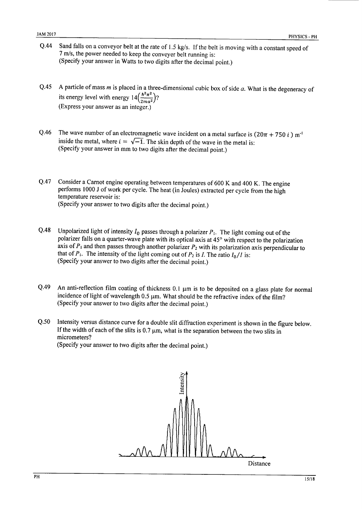- Sand falls on a conveyor belt at the rate of 1.5 kg/s. If the belt is moving with a constant speed of O.44 7 m/s, the power needed to keep the conveyer belt running is: (Specify your answer in Watts to two digits after the decimal point.)
- $0.45$ A particle of mass  $m$  is placed in a three-dimensional cubic box of side  $a$ . What is the degeneracy of its energy level with energy  $14\left(\frac{\hbar^2 \pi^2}{2ma^2}\right)$ ? (Express your answer as an integer.)
- The wave number of an electromagnetic wave incident on a metal surface is  $(20\pi + 750 i)$  m<sup>-1</sup>  $Q.46$ inside the metal, where  $i = \sqrt{-1}$ . The skin depth of the wave in the metal is: (Specify your answer in mm to two digits after the decimal point.)
- $Q.47$ Consider a Carnot engine operating between temperatures of 600 K and 400 K. The engine performs 1000 J of work per cycle. The heat (in Joules) extracted per cycle from the high temperature reservoir is: (Specify your answer to two digits after the decimal point.)
- O.48 Unpolarized light of intensity  $I_0$  passes through a polarizer  $P_1$ . The light coming out of the polarizer falls on a quarter-wave plate with its optical axis at 45° with respect to the polarization axis of  $P_1$  and then passes through another polarizer  $P_2$  with its polarization axis perpendicular to that of  $P_1$ . The intensity of the light coming out of  $P_2$  is I. The ratio  $I_0/I$  is: (Specify your answer to two digits after the decimal point.)
- $O.49$ An anti-reflection film coating of thickness 0.1 µm is to be deposited on a glass plate for normal incidence of light of wavelength 0.5 µm. What should be the refractive index of the film? (Specify your answer to two digits after the decimal point.)
- $O.50$ Intensity versus distance curve for a double slit diffraction experiment is shown in the figure below. If the width of each of the slits is  $0.7 \mu m$ , what is the separation between the two slits in micrometers? (Specify your answer to two digits after the decimal point.)

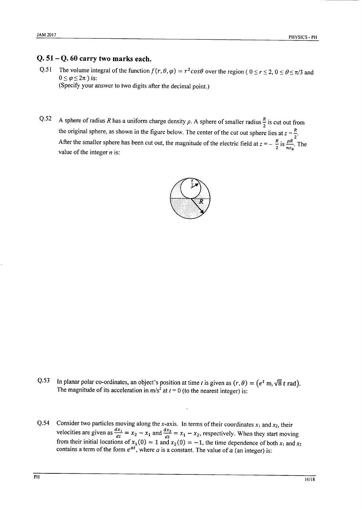### $Q. 51 - Q. 60$  carry two marks each.

- The volume integral of the function  $f(r, \theta, \varphi) = r^2 \cos \theta$  over the region (  $0 \le r \le 2$ ,  $0 \le \theta \le \pi/3$  and  $Q.51$  $0 \leq \varphi \leq 2\pi$ ) is: (Specify your answer to two digits after the decimal point.)
- A sphere of radius R has a uniform charge density  $\rho$ . A sphere of smaller radius  $\frac{R}{2}$  is cut out from  $Q.52$ the original sphere, as shown in the figure below. The center of the cut out sphere lies at  $z = \frac{R}{2}$ .<br>After the smaller sphere has been cut out, the magnitude of the electric field at  $z = -\frac{R}{2}$  is  $\frac{\rho R}{n\epsilon_0}$ . Th value of the integer  $n$  is:



- $Q.53$ In planar polar co-ordinates, an object's position at time t is given as  $(r, \theta) = (e^t \text{ m}, \sqrt{8} t \text{ rad})$ . The magnitude of its acceleration in m/s<sup>2</sup> at  $t = 0$  (to the nearest integer) is:
- Consider two particles moving along the x-axis. In terms of their coordinates  $x_1$  and  $x_2$ , their  $Q.54$ velocities are given as  $\frac{dx_1}{dt} = x_2 - x_1$  and  $\frac{dx_2}{dt} = x_1 - x_2$ , respectively. When they start moving<br>from their initial locations of  $x_1(0) = 1$  and  $x_2(0) = -1$ , the time dependence of both  $x_1$  and  $x_2$ <br>contains a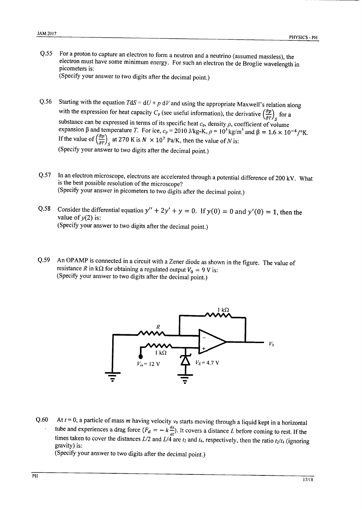For a proton to capture an electron to form a neutron and a neutrino (assumed massless), the  $0.55$ electron must have some minimum energy. For such an electron the de Broglie wavelength in picometers is:

(Specify your answer to two digits after the decimal point.)

- Starting with the equation  $TdS = dU + p dV$  and using the appropriate Maxwell's relation along  $Q.56$ with the expression for heat capacity  $C_p$  (see useful information), the derivative  $\left(\frac{\partial p}{\partial T}\right)_{S}$  for a substance can be expressed in terms of its specific heat  $c_p$ , density  $\rho$ , coefficient of volume expansion  $\beta$  and temperature T. For ice,  $c_p = 2010 \text{ J/kg-K}$ ,  $\rho = 10^3 \text{ kg/m}^3$  and  $\beta = 1.6 \times 10^{-4} / \text{°K}$ . If the value of  $\left(\frac{\partial p}{\partial T}\right)_{S}$  at 270 K is  $N \times 10^{7}$  Pa/K, then the value of N is: (Specify your answer to two digits after the decimal point.)
- In an electron microscope, electrons are accelerated through a potential difference of 200 kV. What  $O.57$ is the best possible resolution of the microscope? (Specify your answer in picometers to two digits after the decimal point.)
- Consider the differential equation  $y'' + 2y' + y = 0$ . If  $y(0) = 0$  and  $y'(0) = 1$ , then the  $Q.58$ value of  $v(2)$  is: (Specify your answer to two digits after the decimal point.)
- An OPAMP is connected in a circuit with a Zener diode as shown in the figure. The value of  $Q.59$ resistance R in k $\Omega$  for obtaining a regulated output  $V_0 = 9$  V is: (Specify your answer to two digits after the decimal point.)



At  $t = 0$ , a particle of mass m having velocity  $v_0$  starts moving through a liquid kept in a horizontal  $Q.60$ tube and experiences a drag force  $(F_d = -k \frac{dx}{dt})$ . It covers a distance L before coming to rest. If the times taken to cover the distances  $L/2$  and  $L/4$  are  $t_2$  and  $t_4$ , respectively, then the ratio  $t_2/t_4$  (ignorin gravity) is:

(Specify your answer to two digits after the decimal point.)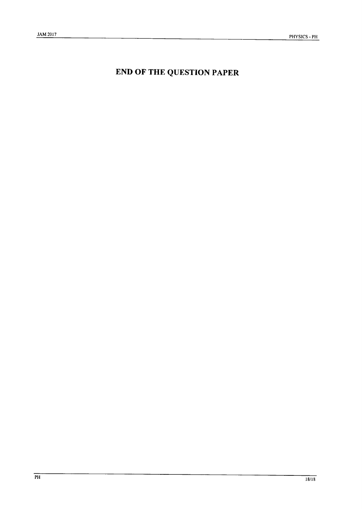# **END OF THE QUESTION PAPER**